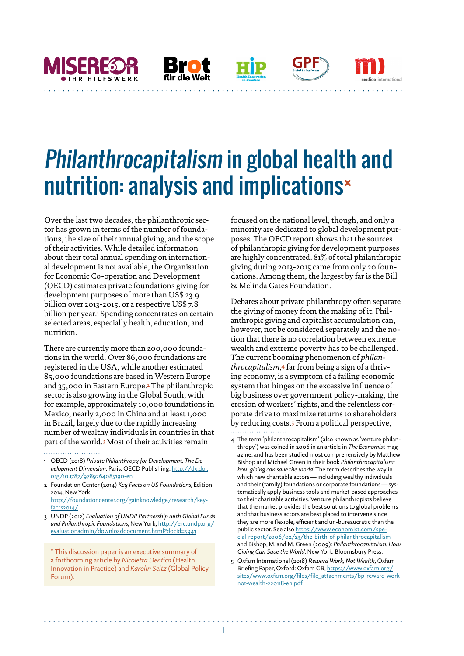Philanthrocapitalism in global health and nutrition: analysis and implications\*

BTO I

1

Over the last two decades, the philanthropic sector has grown in terms of the number of foundations, the size of their annual giving, and the scope of their activities. While detailed information about their total annual spending on international development is not available, the Organisation for Economic Co-operation and Development (OECD) estimates private foundations giving for development purposes of more than US\$ 23.9 billion over 2013-2015, or a respective US\$ 7.8 billion per year.<sup>1</sup> Spending concentrates on certain selected areas, especially health, education, and nutrition.

**HR HIIFSWFRK** 

There are currently more than 200,000 foundations in the world. Over 86,000 foundations are registered in the USA, while another estimated 85,000 foundations are based in Western Europe and 35,000 in Eastern Europe.2 The philanthropic sector is also growing in the Global South, with for example, approximately 10,000 foundations in Mexico, nearly 2,000 in China and at least 1,000 in Brazil, largely due to the rapidly increasing number of wealthy individuals in countries in that part of the world.3 Most of their activities remain

1 OECD (2018) *Private Philanthropy for Development. The Development Dimension*, Paris: OECD Publishing, [http://dx.doi.](http://dx.doi.org/10.1787/9789264085190-en) [org/10.1787/9789264085190-en](http://dx.doi.org/10.1787/9789264085190-en)

3 UNDP (2012) *Evaluation of UNDP Partnership with Global Funds and Philanthropic Foundations*, New York, [http://erc.undp.org/](http://erc.undp.org/evaluationadmin/downloaddocument.html?docid=5943) [evaluationadmin/downloaddocument.html?docid=5943](http://erc.undp.org/evaluationadmin/downloaddocument.html?docid=5943)

\* This discussion paper is an executive summary of a forthcoming article by *Nicoletta Dentico* (Health Innovation in Practice) and *Karolin Seitz* (Global Policy Forum).

focused on the national level, though, and only a minority are dedicated to global development purposes. The OECD report shows that the sources of philanthropic giving for development purposes are highly concentrated. 81% of total philanthropic giving during 2013-2015 came from only 20 foundations. Among them, the largest by far is the Bill & Melinda Gates Foundation.

medico international . . . . . .

Debates about private philanthropy often separate the giving of money from the making of it. Philanthropic giving and capitalist accumulation can, however, not be considered separately and the notion that there is no correlation between extreme wealth and extreme poverty has to be challenged. The current booming phenomenon of *philanthrocapitalism*,4 far from being a sign of a thriving economy, is a symptom of a failing economic system that hinges on the excessive influence of big business over government policy-making, the erosion of workers' rights, and the relentless corporate drive to maximize returns to shareholders by reducing costs.5 From a political perspective,

5 Oxfam International (2018) *Reward Work, Not Wealth*, Oxfam Briefing Paper, Oxford: Oxfam GB, [https://www.oxfam.org/](https://www.oxfam.org/sites/www.oxfam.org/files/file_attachments/bp-reward-work-not-wealth-220118-en) [sites/www.oxfam.org/files/file\\_attachments/bp-reward-work](https://www.oxfam.org/sites/www.oxfam.org/files/file_attachments/bp-reward-work-not-wealth-220118-en)[not-wealth-220118-en.pdf](https://www.oxfam.org/sites/www.oxfam.org/files/file_attachments/bp-reward-work-not-wealth-220118-en)

<sup>2</sup> Foundation Center (2014) *Key Facts on US Foundations*, Edition 2014, New York, [http://foundationcenter.org/gainknowledge/research/key](http://foundationcenter.org/gainknowledge/research/keyfacts2014/)[facts2014/](http://foundationcenter.org/gainknowledge/research/keyfacts2014/)

<sup>4</sup> The term 'philanthrocapitalism' (also known as 'venture philanthropy') was coined in 2006 in an article in *The Economist* magazine, and has been studied most comprehensively by Matthew Bishop and Michael Green in their book *Philanthrocapitalism: how giving can save the world*. The term describes the way in which new charitable actors—including wealthy individuals and their (family) foundations or corporate foundations—systematically apply business tools and market-based approaches to their charitable activities. Venture philanthropists believe that the market provides the best solutions to global problems and that business actors are best placed to intervene since they are more flexible, efficient and un-bureaucratic than the public sector. See also [https://www.economist.com/spe](https://www.economist.com/special-report/2006/02/23/the-birth-of-philanthrocapitalism)[cial-report/2006/02/23/the-birth-of-philanthrocapitalism](https://www.economist.com/special-report/2006/02/23/the-birth-of-philanthrocapitalism) and Bishop, M. and M. Green (2009): *Philanthrocapitalism: How Giving Can Save the World*. New York: Bloomsbury Press.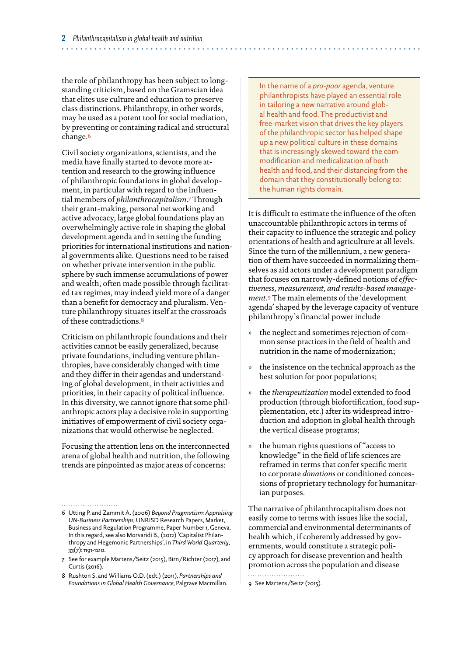the role of philanthropy has been subject to longstanding criticism, based on the Gramscian idea that elites use culture and education to preserve class distinctions. Philanthropy, in other words, may be used as a potent tool for social mediation, by preventing or containing radical and structural change.<sup>6</sup>

Civil society organizations, scientists, and the media have finally started to devote more attention and research to the growing influence of philanthropic foundations in global development, in particular with regard to the influential members of *philanthrocapitalism*.7 Through their grant-making, personal networking and active advocacy, large global foundations play an overwhelmingly active role in shaping the global development agenda and in setting the funding priorities for international institutions and national governments alike. Questions need to be raised on whether private intervention in the public sphere by such immense accumulations of power and wealth, often made possible through facilitated tax regimes, may indeed yield more of a danger than a benefit for democracy and pluralism. Venture philanthropy situates itself at the crossroads of these contradictions.<sup>8</sup>

Criticism on philanthropic foundations and their activities cannot be easily generalized, because private foundations, including venture philanthropies, have considerably changed with time and they differ in their agendas and understanding of global development, in their activities and priorities, in their capacity of political influence. In this diversity, we cannot ignore that some philanthropic actors play a decisive role in supporting initiatives of empowerment of civil society organizations that would otherwise be neglected.

Focusing the attention lens on the interconnected arena of global health and nutrition, the following trends are pinpointed as major areas of concerns:

In the name of a *pro-poor* agenda, venture philanthropists have played an essential role in tailoring a new narrative around global health and food. The productivist and free-market vision that drives the key players of the philanthropic sector has helped shape up a new political culture in these domains that is increasingly skewed toward the commodification and medicalization of both health and food, and their distancing from the domain that they constitutionally belong to: the human rights domain.

It is difficult to estimate the influence of the often unaccountable philanthropic actors in terms of their capacity to influence the strategic and policy orientations of health and agriculture at all levels. Since the turn of the millennium, a new generation of them have succeeded in normalizing themselves as aid actors under a development paradigm that focuses on narrowly-defined notions of *effectiveness, measurement, and results-based management*.9 The main elements of the 'development agenda' shaped by the leverage capacity of venture philanthropy's financial power include

- » the neglect and sometimes rejection of common sense practices in the field of health and nutrition in the name of modernization;
- » the insistence on the technical approach as the best solution for poor populations;
- » the *therapeutization* model extended to food production (through biofortification, food supplementation, etc.) after its widespread introduction and adoption in global health through the vertical disease programs;
- » the human rights questions of "access to knowledge" in the field of life sciences are reframed in terms that confer specific merit to corporate *donations* or conditioned concessions of proprietary technology for humanitarian purposes.

The narrative of philanthrocapitalism does not easily come to terms with issues like the social, commercial and environmental determinants of health which, if coherently addressed by governments, would constitute a strategic policy approach for disease prevention and health promotion across the population and disease

9 See Martens/Seitz (2015).

<sup>6</sup> Utting P. and Zammit A. (2006) *Beyond Pragmatism: Appraising UN-Business Partnerships*, UNRISD Research Papers, Market, Business and Regulation Programme, Paper Number 1, Geneva. In this regard, see also Morvaridi B., (2012) 'Capitalist Philanthropy and Hegemonic Partnerships', in *Third World Quarterly*, 33(7): 1191-1210.

<sup>7</sup> See for example Martens/Seitz (2015), Birn/Richter (2017), and Curtis (2016).

<sup>8</sup> Rushton S. and Williams O.D. (edt.) (2011), *Partnerships and Foundations in Global Health Governance*, Palgrave Macmillan.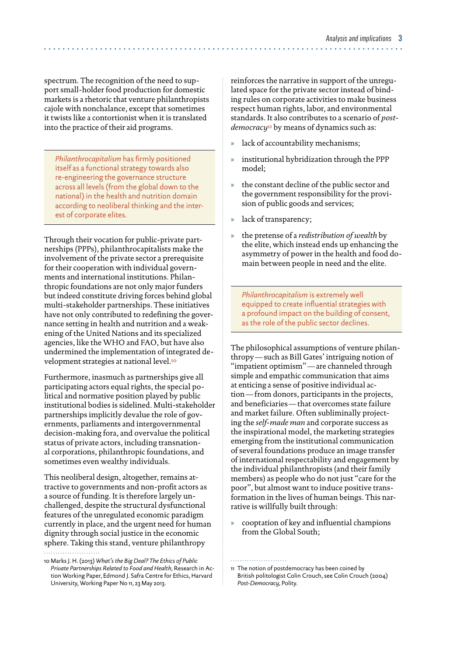spectrum. The recognition of the need to support small-holder food production for domestic markets is a rhetoric that venture philanthropists cajole with nonchalance, except that sometimes it twists like a contortionist when it is translated into the practice of their aid programs.

*Philanthrocapitalism* has firmly positioned itself as a functional strategy towards also re-engineering the governance structure across all levels (from the global down to the national) in the health and nutrition domain according to neoliberal thinking and the interest of corporate elites.

Through their vocation for public-private partnerships (PPPs), philanthrocapitalists make the involvement of the private sector a prerequisite for their cooperation with individual governments and international institutions. Philanthropic foundations are not only major funders but indeed constitute driving forces behind global multi-stakeholder partnerships. These initiatives have not only contributed to redefining the governance setting in health and nutrition and a weakening of the United Nations and its specialized agencies, like the WHO and FAO, but have also undermined the implementation of integrated development strategies at national level.<sup>10</sup>

Furthermore, inasmuch as partnerships give all participating actors equal rights, the special political and normative position played by public institutional bodies is sidelined. Multi-stakeholder partnerships implicitly devalue the role of governments, parliaments and intergovernmental decision-making fora, and overvalue the political status of private actors, including transnational corporations, philanthropic foundations, and sometimes even wealthy individuals.

This neoliberal design, altogether, remains attractive to governments and non-profit actors as a source of funding. It is therefore largely unchallenged, despite the structural dysfunctional features of the unregulated economic paradigm currently in place, and the urgent need for human dignity through social justice in the economic sphere. Taking this stand, venture philanthropy

reinforces the narrative in support of the unregulated space for the private sector instead of binding rules on corporate activities to make business respect human rights, labor, and environmental standards. It also contributes to a scenario of *postdemocracy*<sup>11</sup> by means of dynamics such as:

- » lack of accountability mechanisms;
- » institutional hybridization through the PPP model;
- the constant decline of the public sector and the government responsibility for the provision of public goods and services;
- » lack of transparency;
- » the pretense of a *redistribution of wealth* by the elite, which instead ends up enhancing the asymmetry of power in the health and food domain between people in need and the elite.

*Philanthrocapitalism* is extremely well equipped to create influential strategies with a profound impact on the building of consent, as the role of the public sector declines.

The philosophical assumptions of venture philanthropy—such as Bill Gates' intriguing notion of "impatient optimism"—are channeled through simple and empathic communication that aims at enticing a sense of positive individual action—from donors, participants in the projects, and beneficiaries—that overcomes state failure and market failure. Often subliminally projecting the *self-made man* and corporate success as the inspirational model, the marketing strategies emerging from the institutional communication of several foundations produce an image transfer of international respectability and engagement by the individual philanthropists (and their family members) as people who do not just "care for the poor", but almost want to induce positive transformation in the lives of human beings. This narrative is willfully built through:

» cooptation of key and influential champions from the Global South;

<sup>10</sup> Marks J. H. (2013) *What's the Big Deal? The Ethics of Public Private Partnerships Related to Food and Health*, Research in Action Working Paper, Edmond J. Safra Centre for Ethics, Harvard University, Working Paper No 11, 23 May 2013.

<sup>11</sup> The notion of postdemocracy has been coined by British politologist Colin Crouch, see Colin Crouch (2004) *Post-Democracy*, Polity.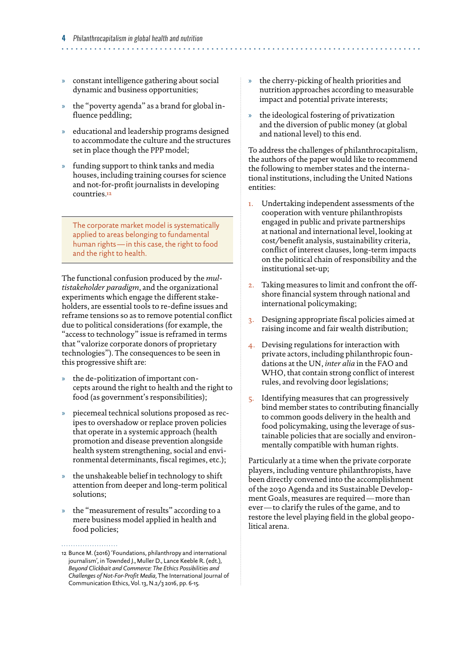- » constant intelligence gathering about social dynamic and business opportunities;
- » the "poverty agenda" as a brand for global influence peddling;
- » educational and leadership programs designed to accommodate the culture and the structures set in place though the PPP model;
- » funding support to think tanks and media houses, including training courses for science and not-for-profit journalists in developing countries.<sup>12</sup>

The corporate market model is systematically applied to areas belonging to fundamental human rights—in this case, the right to food and the right to health.

The functional confusion produced by the *multistakeholder paradigm*, and the organizational experiments which engage the different stakeholders, are essential tools to re-define issues and reframe tensions so as to remove potential conflict due to political considerations (for example, the "access to technology" issue is reframed in terms that "valorize corporate donors of proprietary technologies"). The consequences to be seen in this progressive shift are:

- the de-politization of important concepts around the right to health and the right to food (as government's responsibilities);
- » piecemeal technical solutions proposed as recipes to overshadow or replace proven policies that operate in a systemic approach (health promotion and disease prevention alongside health system strengthening, social and environmental determinants, fiscal regimes, etc.);
- » the unshakeable belief in technology to shift attention from deeper and long-term political solutions;
- » the "measurement of results" according to a mere business model applied in health and food policies;
- » the cherry-picking of health priorities and nutrition approaches according to measurable impact and potential private interests;
- » the ideological fostering of privatization and the diversion of public money (at global and national level) to this end.

To address the challenges of philanthrocapitalism, the authors of the paper would like to recommend the following to member states and the international institutions, including the United Nations entities:

- 1. Undertaking independent assessments of the cooperation with venture philanthropists engaged in public and private partnerships at national and international level, looking at cost/benefit analysis, sustainability criteria, conflict of interest clauses, long-term impacts on the political chain of responsibility and the institutional set-up;
- 2. Taking measures to limit and confront the offshore financial system through national and international policymaking;
- 3. Designing appropriate fiscal policies aimed at raising income and fair wealth distribution;
- 4. Devising regulations for interaction with private actors, including philanthropic foundations at the UN, *inter alia* in the FAO and WHO, that contain strong conflict of interest rules, and revolving door legislations;
- 5. Identifying measures that can progressively bind member states to contributing financially to common goods delivery in the health and food policymaking, using the leverage of sustainable policies that are socially and environmentally compatible with human rights.

Particularly at a time when the private corporate players, including venture philanthropists, have been directly convened into the accomplishment of the 2030 Agenda and its Sustainable Development Goals, measures are required—more than ever—to clarify the rules of the game, and to restore the level playing field in the global geopolitical arena.

<sup>12</sup> Bunce M. (2016) 'Foundations, philanthropy and international journalism', in Townded J., Muller D., Lance Keeble R. (edt.), *Beyond Clickbait and Commerce: The Ethics Possibilities and Challenges of Not-For-Profit Media*, The International Journal of Communication Ethics, Vol. 13, N.2/3 2016, pp. 6-15.